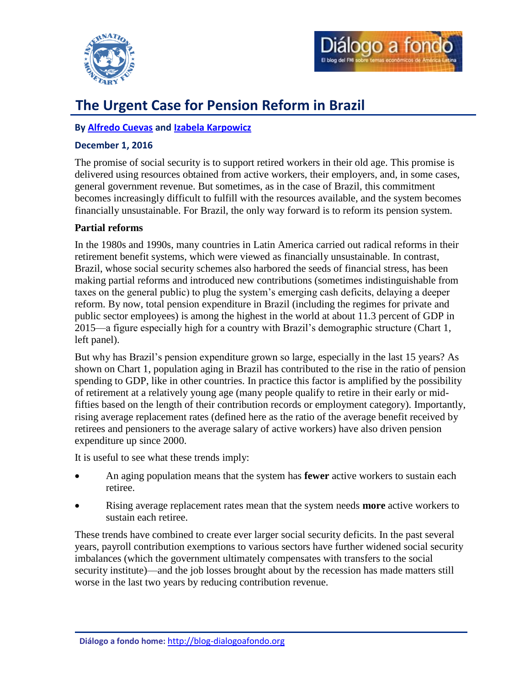



# **The Urgent Case for Pension Reform in Brazil**

## **By [Alfredo Cuevas](#page-3-0) and [Izabela Karpowicz](#page-3-1)**

## **December 1, 2016**

The promise of social security is to support retired workers in their old age. This promise is delivered using resources obtained from active workers, their employers, and, in some cases, general government revenue. But sometimes, as in the case of Brazil, this commitment becomes increasingly difficult to fulfill with the resources available, and the system becomes financially unsustainable. For Brazil, the only way forward is to reform its pension system.

## **Partial reforms**

In the 1980s and 1990s, many countries in Latin America carried out radical reforms in their retirement benefit systems, which were viewed as financially unsustainable. In contrast, Brazil, whose social security schemes also harbored the seeds of financial stress, has been making partial reforms and introduced new contributions (sometimes indistinguishable from taxes on the general public) to plug the system's emerging cash deficits, delaying a deeper reform. By now, total pension expenditure in Brazil (including the regimes for private and public sector employees) is among the highest in the world at about 11.3 percent of GDP in 2015—a figure especially high for a country with Brazil's demographic structure (Chart 1, left panel).

But why has Brazil's pension expenditure grown so large, especially in the last 15 years? As shown on Chart 1, population aging in Brazil has contributed to the rise in the ratio of pension spending to GDP, like in other countries. In practice this factor is amplified by the possibility of retirement at a relatively young age (many people qualify to retire in their early or midfifties based on the length of their contribution records or employment category). Importantly, rising average replacement rates (defined here as the ratio of the average benefit received by retirees and pensioners to the average salary of active workers) have also driven pension expenditure up since 2000.

It is useful to see what these trends imply:

- An aging population means that the system has **fewer** active workers to sustain each retiree.
- Rising average replacement rates mean that the system needs **more** active workers to sustain each retiree.

These trends have combined to create ever larger social security deficits. In the past several years, payroll contribution exemptions to various sectors have further widened social security imbalances (which the government ultimately compensates with transfers to the social security institute)—and the job losses brought about by the recession has made matters still worse in the last two years by reducing contribution revenue.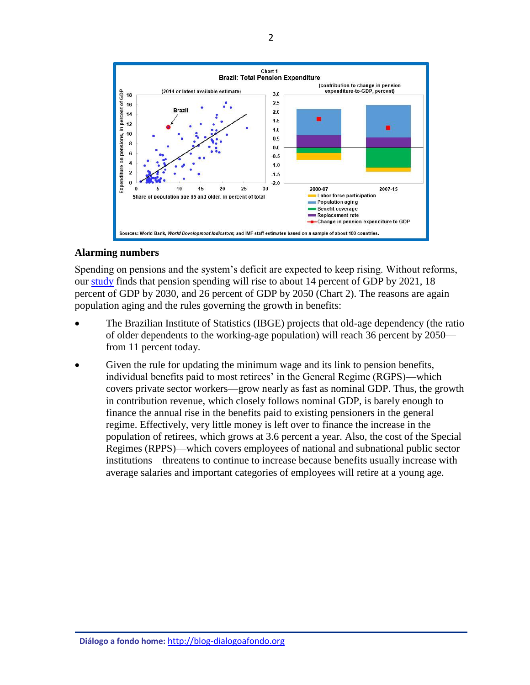

## **Alarming numbers**

Spending on pensions and the system's deficit are expected to keep rising. Without reforms, our [study](http://www.imf.org/external/pubs/cat/longres.aspx?sk=44393.0) finds that pension spending will rise to about 14 percent of GDP by 2021, 18 percent of GDP by 2030, and 26 percent of GDP by 2050 (Chart 2). The reasons are again population aging and the rules governing the growth in benefits:

- The Brazilian Institute of Statistics (IBGE) projects that old-age dependency (the ratio of older dependents to the working-age population) will reach 36 percent by 2050 from 11 percent today.
- Given the rule for updating the minimum wage and its link to pension benefits, individual benefits paid to most retirees' in the General Regime (RGPS)—which covers private sector workers—grow nearly as fast as nominal GDP. Thus, the growth in contribution revenue, which closely follows nominal GDP, is barely enough to finance the annual rise in the benefits paid to existing pensioners in the general regime. Effectively, very little money is left over to finance the increase in the population of retirees, which grows at 3.6 percent a year. Also, the cost of the Special Regimes (RPPS)—which covers employees of national and subnational public sector institutions—threatens to continue to increase because benefits usually increase with average salaries and important categories of employees will retire at a young age.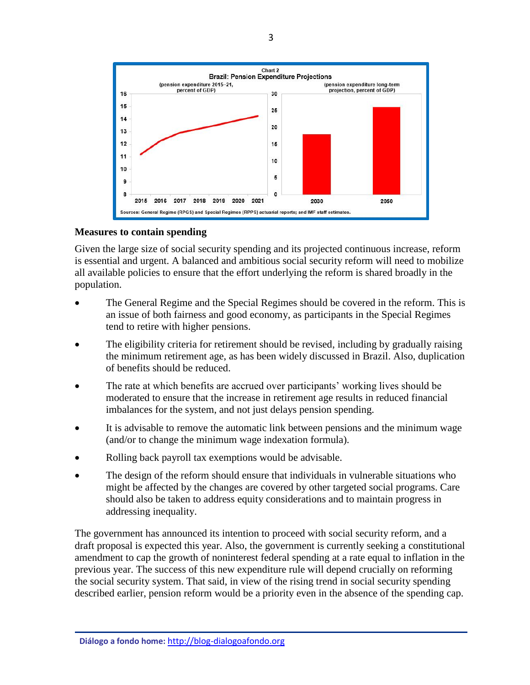

### **Measures to contain spending**

Given the large size of social security spending and its projected continuous increase, reform is essential and urgent. A balanced and ambitious social security reform will need to mobilize all available policies to ensure that the effort underlying the reform is shared broadly in the population.

- The General Regime and the Special Regimes should be covered in the reform. This is an issue of both fairness and good economy, as participants in the Special Regimes tend to retire with higher pensions.
- The eligibility criteria for retirement should be revised, including by gradually raising the minimum retirement age, as has been widely discussed in Brazil. Also, duplication of benefits should be reduced.
- The rate at which benefits are accrued over participants' working lives should be moderated to ensure that the increase in retirement age results in reduced financial imbalances for the system, and not just delays pension spending.
- It is advisable to remove the automatic link between pensions and the minimum wage (and/or to change the minimum wage indexation formula).
- Rolling back payroll tax exemptions would be advisable.
- The design of the reform should ensure that individuals in vulnerable situations who might be affected by the changes are covered by other targeted social programs. Care should also be taken to address equity considerations and to maintain progress in addressing inequality.

The government has announced its intention to proceed with social security reform, and a draft proposal is expected this year. Also, the government is currently seeking a constitutional amendment to cap the growth of noninterest federal spending at a rate equal to inflation in the previous year. The success of this new expenditure rule will depend crucially on reforming the social security system. That said, in view of the rising trend in social security spending described earlier, pension reform would be a priority even in the absence of the spending cap.